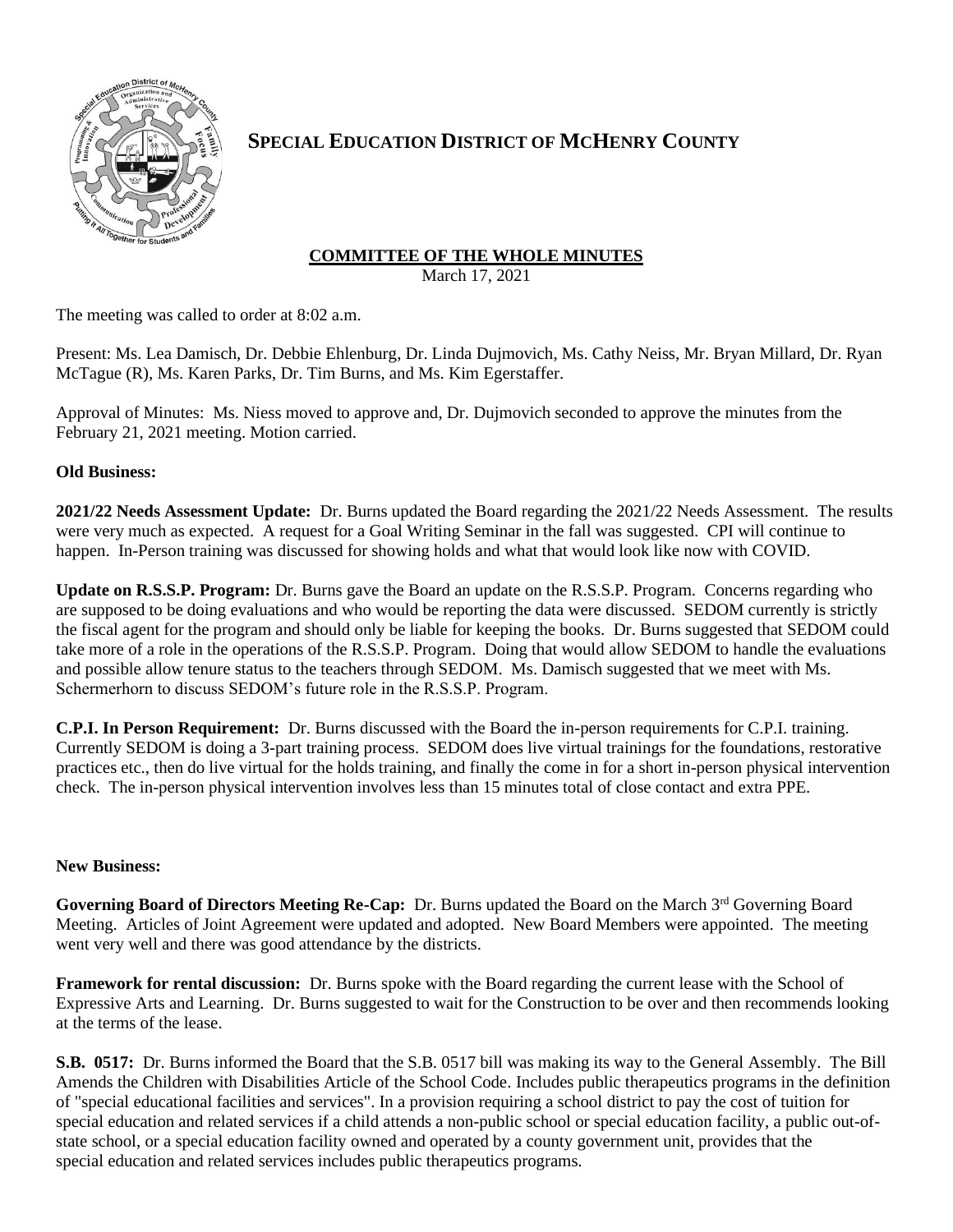

## **SPECIAL EDUCATION DISTRICT OF MCHENRY COUNTY**

# **COMMITTEE OF THE WHOLE MINUTES**

March 17, 2021

The meeting was called to order at 8:02 a.m.

Present: Ms. Lea Damisch, Dr. Debbie Ehlenburg, Dr. Linda Dujmovich, Ms. Cathy Neiss, Mr. Bryan Millard, Dr. Ryan McTague (R), Ms. Karen Parks, Dr. Tim Burns, and Ms. Kim Egerstaffer.

Approval of Minutes: Ms. Niess moved to approve and, Dr. Dujmovich seconded to approve the minutes from the February 21, 2021 meeting. Motion carried.

## **Old Business:**

**2021/22 Needs Assessment Update:** Dr. Burns updated the Board regarding the 2021/22 Needs Assessment. The results were very much as expected. A request for a Goal Writing Seminar in the fall was suggested. CPI will continue to happen. In-Person training was discussed for showing holds and what that would look like now with COVID.

**Update on R.S.S.P. Program:** Dr. Burns gave the Board an update on the R.S.S.P. Program. Concerns regarding who are supposed to be doing evaluations and who would be reporting the data were discussed. SEDOM currently is strictly the fiscal agent for the program and should only be liable for keeping the books. Dr. Burns suggested that SEDOM could take more of a role in the operations of the R.S.S.P. Program. Doing that would allow SEDOM to handle the evaluations and possible allow tenure status to the teachers through SEDOM. Ms. Damisch suggested that we meet with Ms. Schermerhorn to discuss SEDOM's future role in the R.S.S.P. Program.

**C.P.I. In Person Requirement:** Dr. Burns discussed with the Board the in-person requirements for C.P.I. training. Currently SEDOM is doing a 3-part training process. SEDOM does live virtual trainings for the foundations, restorative practices etc., then do live virtual for the holds training, and finally the come in for a short in-person physical intervention check. The in-person physical intervention involves less than 15 minutes total of close contact and extra PPE.

## **New Business:**

Governing Board of Directors Meeting Re-Cap: Dr. Burns updated the Board on the March 3<sup>rd</sup> Governing Board Meeting. Articles of Joint Agreement were updated and adopted. New Board Members were appointed. The meeting went very well and there was good attendance by the districts.

**Framework for rental discussion:** Dr. Burns spoke with the Board regarding the current lease with the School of Expressive Arts and Learning. Dr. Burns suggested to wait for the Construction to be over and then recommends looking at the terms of the lease.

**S.B. 0517:** Dr. Burns informed the Board that the S.B. 0517 bill was making its way to the General Assembly. The Bill Amends the Children with Disabilities Article of the School Code. Includes public therapeutics programs in the definition of "special educational facilities and services". In a provision requiring a school district to pay the cost of tuition for special education and related services if a child attends a non-public school or special education facility, a public out-ofstate school, or a special education facility owned and operated by a county government unit, provides that the special education and related services includes public therapeutics programs.